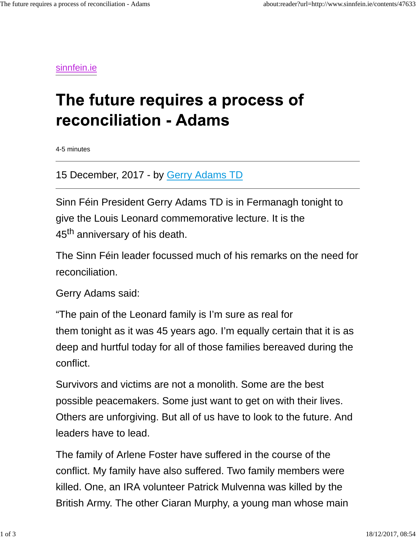sinnfein.ie

## The future requires a process of reconciliation - Adams

4-5 minutes

15 December, 2017 - by Gerry Adams TD

Sinn Féin President Gerry Adams TD is in Fermanagh tonight to give the Louis Leonard commemorative lecture. It is the 45<sup>th</sup> anniversary of his death.

The Sinn Féin leader focussed much of his remarks on the need for reconciliation.

Gerry Adams said:

"The pain of the Leonard family is I'm sure as real for them tonight as it was 45 years ago. I'm equally certain that it is as deep and hurtful today for all of those families bereaved during the conflict.

Survivors and victims are not a monolith. Some are the best possible peacemakers. Some just want to get on with their lives. Others are unforgiving. But all of us have to look to the future. And leaders have to lead.

The family of Arlene Foster have suffered in the course of the conflict. My family have also suffered. Two family members were killed. One, an IRA volunteer Patrick Mulvenna was killed by the British Army. The other Ciaran Murphy, a young man whose main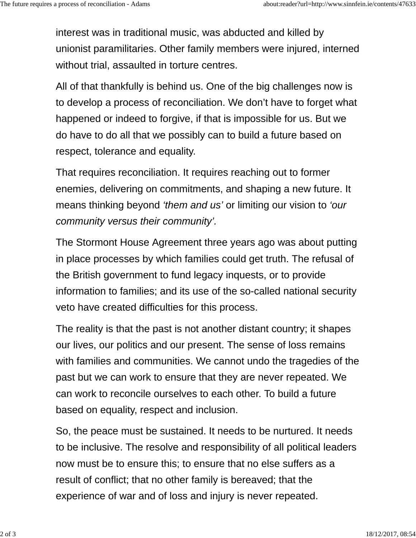interest was in traditional music, was abducted and killed by unionist paramilitaries. Other family members were injured, interned without trial, assaulted in torture centres.

All of that thankfully is behind us. One of the big challenges now is to develop a process of reconciliation. We don't have to forget what happened or indeed to forgive, if that is impossible for us. But we do have to do all that we possibly can to build a future based on respect, tolerance and equality.

That requires reconciliation. It requires reaching out to former enemies, delivering on commitments, and shaping a new future. It means thinking beyond *'them and us'* or limiting our vision to *'our community versus their community'.*

The Stormont House Agreement three years ago was about putting in place processes by which families could get truth. The refusal of the British government to fund legacy inquests, or to provide information to families; and its use of the so-called national security veto have created difficulties for this process.

The reality is that the past is not another distant country; it shapes our lives, our politics and our present. The sense of loss remains with families and communities. We cannot undo the tragedies of the past but we can work to ensure that they are never repeated. We can work to reconcile ourselves to each other. To build a future based on equality, respect and inclusion.

So, the peace must be sustained. It needs to be nurtured. It needs to be inclusive. The resolve and responsibility of all political leaders now must be to ensure this; to ensure that no else suffers as a result of conflict; that no other family is bereaved; that the experience of war and of loss and injury is never repeated.